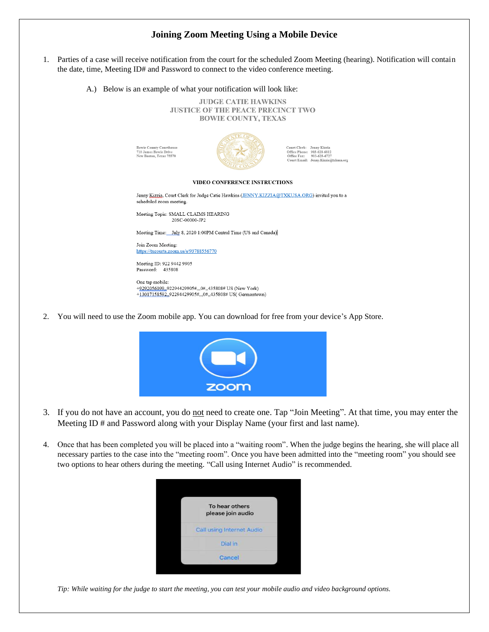## **Joining Zoom Meeting Using a Mobile Device**

- 1. Parties of a case will receive notification from the court for the scheduled Zoom Meeting (hearing). Notification will contain the date, time, Meeting ID# and Password to connect to the video conference meeting.
	- A.) Below is an example of what your notification will look like:

**JUDGE CATIE HAWKINS JUSTICE OF THE PEACE PRECINCT TWO BOWIE COUNTY, TEXAS** 

**Bowie County Courthouse<br>710 James Bowie Drive<br>New Boston, Texas 75570** 



Court Clerk: Jenny Kizzia<br>Office Phone: 903-628-6812<br>Office Fax: 903-628-6727<br>Court Email: Jenny.Kizzia@txkusa.org

## VIDEO CONFERENCE INSTRUCTIONS

Jenny Kizzia, Court Clerk for Judge Catie Hawkins (JENNY.KIZZIA@TXKUSA.ORG) invited you to a scheduled zoom meeting.

Meeting Topic: SMALL CLAIMS HEARING 20SC-00000-JP2

Meeting Time: July 8, 2020 1:00PM Central Time (US and Canada)

Join Zoom Meeting: https://txcourts.zoom.us/s/93788556770

Meeting ID: 922 9442 9905 Password: 435808

One tap mobile: +9292056099, 92294429905#,,,0#,,435808# US (New York) +13017158592, 92294429905#,,,0#,,435808# US(Germantown)

2. You will need to use the Zoom mobile app. You can download for free from your device's App Store.



- 3. If you do not have an account, you do not need to create one. Tap "Join Meeting". At that time, you may enter the Meeting ID # and Password along with your Display Name (your first and last name).
- 4. Once that has been completed you will be placed into a "waiting room". When the judge begins the hearing, she will place all necessary parties to the case into the "meeting room". Once you have been admitted into the "meeting room" you should see two options to hear others during the meeting. "Call using Internet Audio" is recommended.



*Tip: While waiting for the judge to start the meeting, you can test your mobile audio and video background options.*